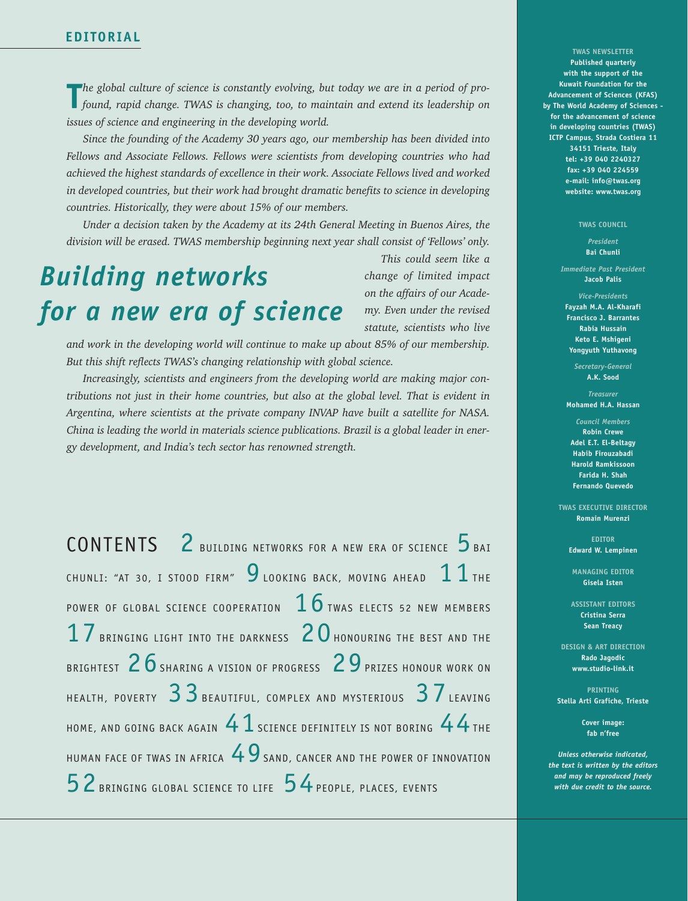**The** global culture of science is constantly evolving, but today we are in a period of pro-<br> **The** *found, rapid change. TWAS is changing, too, to maintain and extend its leadership on found, rapid change. TWAS is changing, too, to maintain and extend its leadership on issues of science and engineering in the developing world.*

*Since the founding of the Academy 30 years ago, our membership has been divided into Fellows and Associate Fellows. Fellows were scientists from developing countries who had achieved the highest standards of excellence in their work. Associate Fellows lived and worked in developed countries, but their work had brought dramatic benefits to science in developing countries. Historically, they were about 15% of our members.*

*Under a decision taken by the Academy at its 24th General Meeting in Buenos Aires, the division will be erased. TWAS membership beginning next year shall consist of 'Fellows' only.*

## *Building networks for a new era of science*

*This could seem like a change of limited impact on the affairs of our Academy. Even under the revised statute, scientists who live*

*and work in the developing world will continue to make up about 85% of our membership. But this shift reflects TWAS's changing relationship with global science.*

*Increasingly, scientists and engineers from the developing world are making major contributions not just in their home countries, but also at the global level. That is evident in Argentina, where scientists at the private company INVAP have built a satellite for NASA. China is leading the world in materials science publications. Brazil is a global leader in energy development, and India's tech sector has renowned strength.*

CONTENTS 2 BUILDING NETWORKS FOR A NEW ERA OF SCIENCE 5 BAI CHUNLI: "AT 30, I STOOD FIRM"  $9$  looking back, moving ahead  $11$  the POWER OF GLOBAL SCIENCE COOPERATION  $\,1\,6\,$  twas elects 52 NEW MEMBERS  $17\,$  Bringing light into the darkness  $\,20\,$  Honouring the best and the BRIGHTEST  $26$  sharing a vision of progress  $29$  prizes honour work on HEALTH, POVERTY  $33$  Beautiful, complex and mysterious  $37$  leaving HOME, AND GOING BACK AGAIN  $41$  science definitely is not boring  $44$  the HUMAN FACE OF TWAS IN AFRICA  $49$  sand, cancer and the power of Innovation 52 BRINGING GLOBAL SCIENCE TO LIFE 54PEOPLE, PLACES, EVENTS

**TWAS NEWSLETTER Published quarterly with the support of the Kuwait Foundation for the Advancement of Sciences (KFAS) by The World Academy of Sciences for the advancement of science in developing countries (TWAS) ICTP Campus, Strada Costiera 11 34151 Trieste, Italy tel: +39 040 2240327 fax: +39 040 224559 e-mail: info@twas.org website: www.twas.org**

## **TWAS COUNCIL**

*President* **Bai Chunli**

*Immediate Past President* **Jacob Palis**

*Vice-Presidents* **Fayzah M.A. Al-Kharafi Francisco J. Barrantes Rabia Hussain Keto E. Mshigeni Yongyuth Yuthavong**

> *Secretary-General* **A.K. Sood**

*Treasurer* **Mohamed H.A. Hassan**

*Council Members* **Robin Crewe Adel E.T. El-Beltagy Habib Firouzabadi Harold Ramkissoon Farida H. Shah Fernando Quevedo**

**TWAS EXECUTIVE DIRECTOR Romain Murenzi**

> **EDITOR Edward W. Lempinen**

**MANAGING EDITOR Gisela Isten**

**ASSISTANT EDITORS Cristina Serra Sean Treacy**

**DESIGN & ART DIRECTION Rado Jagodic www.studio-link.it**

**PRINTING Stella Arti Grafiche, Trieste**

> **Cover image: fab n'free**

*Unless otherwise indicated, the text is written by the editors and may be reproduced freely with due credit to the source.*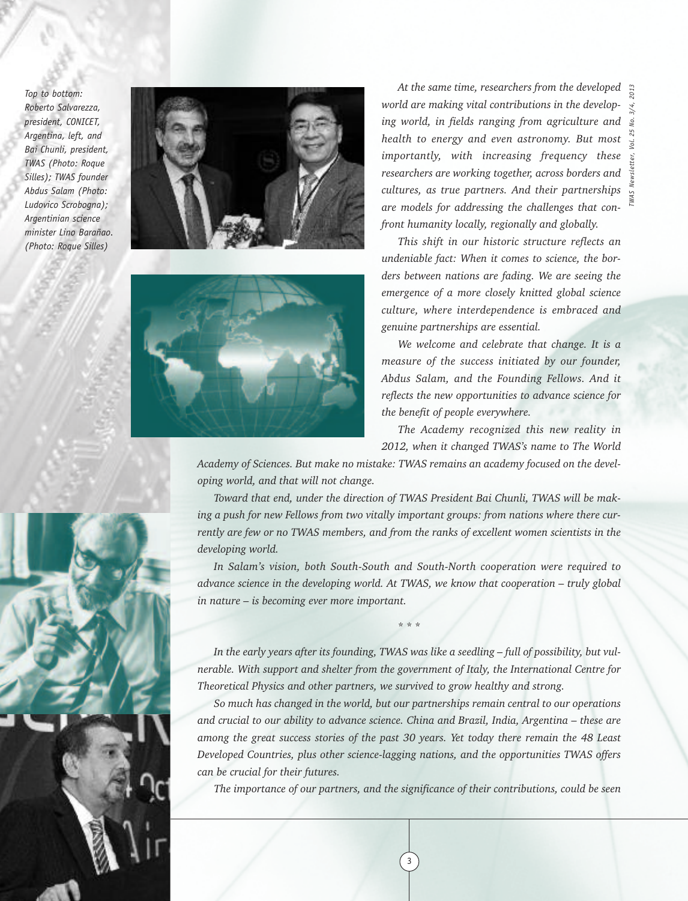*Top to bottom: Roberto Salvarezza, president, CONICET, Argentina, left, and Bai Chunli, president, TWAS (Photo: Roque Silles); TWAS founder Abdus Salam (Photo: Ludovico Scrobogna); Argentinian science minister Lino Barañao. (Photo: Roque Silles)*





*A <sup>3</sup> t the same time, researchers from the developed world are making vital contributions in the developing world, in fields ranging from agriculture and health to energy and even astronomy. But most importantly, with increasing frequency these researchers are working together, across borders and cultures, as true partners. And their partnerships are models for addressing the challenges that confront humanity locally, regionally and globally.*

*TWAS Newsletter, Vol. 25 No. 3/4, 201*

*This shift in our historic structure reflects an undeniable fact: When it comes to science, the borders between nations are fading. We are seeing the emergence of a more closely knitted global science culture, where interdependence is embraced and genuine partnerships are essential.*

*We welcome and celebrate that change. It is a measure of the success initiated by our founder, Abdus Salam, and the Founding Fellows. And it reflects the new opportunities to advance science for the benefit of people everywhere.*

*The Academy recognized this new reality in 2012, when it changed TWAS's name to The World*

*Academy of Sciences. But make no mistake: TWAS remains an academy focused on the developing world, and that will not change.*

*Toward that end, under the direction of TWAS President Bai Chunli, TWAS will be making a push for new Fellows from two vitally important groups: from nations where there currently are few or no TWAS members, and from the ranks of excellent women scientists in the developing world.*

*In Salam's vision, both South-South and South-North cooperation were required to advance science in the developing world. At TWAS, we know that cooperation – truly global in nature – is becoming ever more important.*

\* \* \*

*In the early years after its founding, TWAS was like a seedling – full of possibility, but vulnerable. With support and shelter from the government of Italy, the International Centre for Theoretical Physics and other partners, we survived to grow healthy and strong.*

*So much has changed in the world, but our partnerships remain central to our operations and crucial to our ability to advance science. China and Brazil, India, Argentina – these are among the great success stories of the past 30 years. Yet today there remain the 48 Least Developed Countries, plus other science-lagging nations, and the opportunities TWAS offers can be crucial for their futures.*

*The importance of our partners, and the significance of their contributions, could be seen*

3